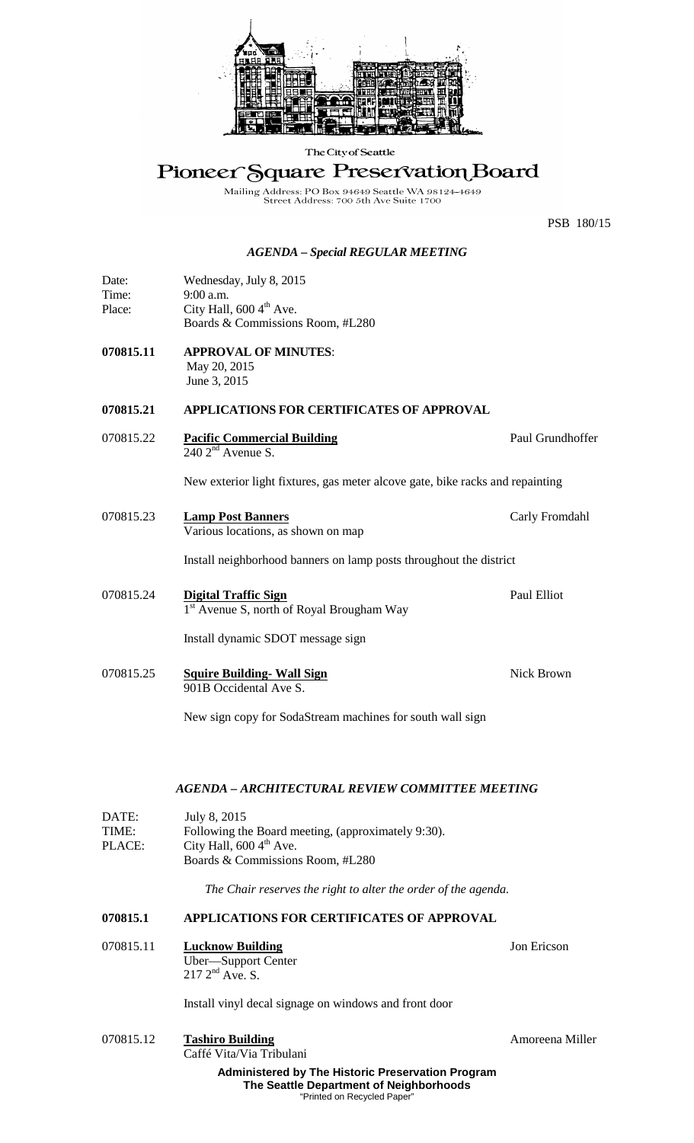

The City of Seattle

# Pioneer Square Preservation Board

Mailing Address: PO Box 94649 Seattle WA 98124-4649<br>Street Address: 700 5th Ave Suite 1700

PSB 180/15

#### *AGENDA – Special REGULAR MEETING*

| Date:  | Wednesday, July 8, 2015              |
|--------|--------------------------------------|
| Time:  | $9:00$ a.m.                          |
| Place: | City Hall, $600\,4^{\text{th}}$ Ave. |
|        | Boards & Commissions Room, #L280     |

**070815.11 APPROVAL OF MINUTES**: May 20, 2015 June 3, 2015

## **070815.21 APPLICATIONS FOR CERTIFICATES OF APPROVAL**

070815.22 **Pacific Commercial Building Paul Grundhoffer Paul Grundhoffer**  $240$   $2<sup>nd</sup>$  Avenue S.

New exterior light fixtures, gas meter alcove gate, bike racks and repainting

- 070815.23 **Lamp Post Banners** Carly Fromdahl Various locations, as shown on map Install neighborhood banners on lamp posts throughout the district
- 070815.24 **Digital Traffic Sign** Paul Elliot 1<sup>st</sup> Avenue S, north of Royal Brougham Way

Install dynamic SDOT message sign

070815.25 **Squire Building- Wall Sign** Nick Brown 901B Occidental Ave S.

New sign copy for SodaStream machines for south wall sign

#### *AGENDA – ARCHITECTURAL REVIEW COMMITTEE MEETING*

| DATE:  | July 8, 2015                                       |  |
|--------|----------------------------------------------------|--|
| TIME:  | Following the Board meeting, (approximately 9:30). |  |
| PLACE: | City Hall, $600\,4^{\text{th}}$ Ave.               |  |
|        | Boards & Commissions Room, #L280                   |  |

*The Chair reserves the right to alter the order of the agenda.*

### **070815.1 APPLICATIONS FOR CERTIFICATES OF APPROVAL**

070815.11 **Lucknow Building** Jon Ericson Uber—Support Center  $217 \, 2^{nd}$  Ave. S.

Install vinyl decal signage on windows and front door

**Administered by The Historic Preservation Program The Seattle Department of Neighborhoods** "Printed on Recycled Pape 070815.12 Tashiro Building **Tashiro Building** Amoreena Miller Caffé Vita/Via Tribulani